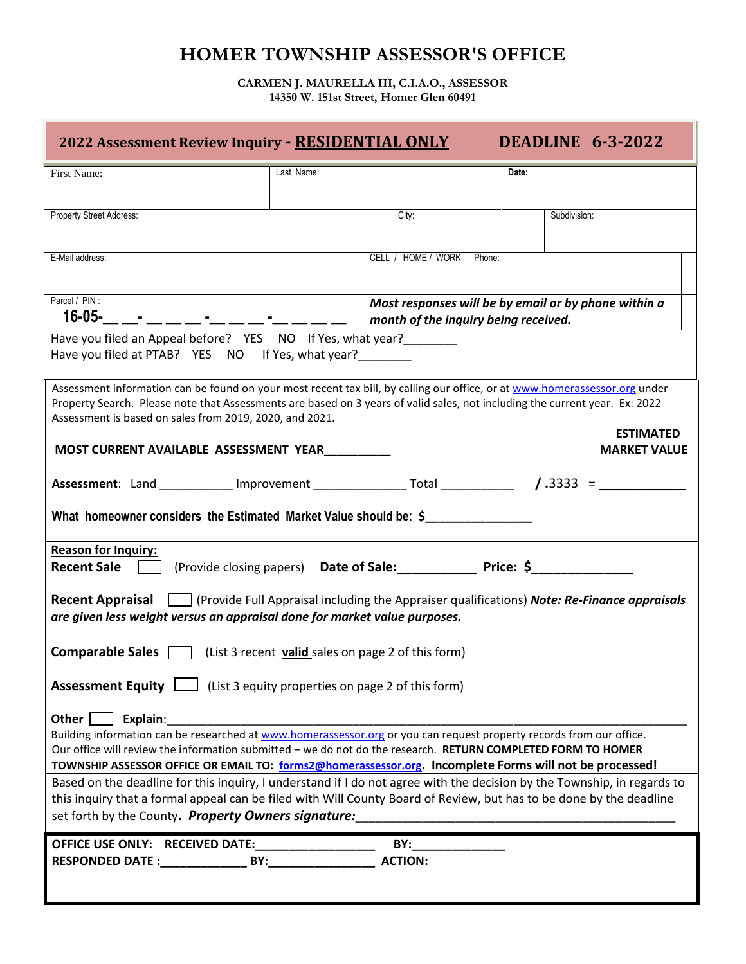## **HOMER TOWNSHIP ASSESSOR'S OFFICE \_\_\_\_\_\_\_\_\_\_\_\_\_\_\_\_\_\_\_\_\_\_\_\_\_\_\_\_\_\_\_\_\_\_\_\_\_\_\_\_\_\_\_\_\_\_\_\_\_\_\_\_\_\_\_\_\_\_\_\_\_\_\_\_\_\_\_\_\_\_\_**

**CARMEN J. MAURELLA III, C.I.A.O., ASSESSOR 14350 W. 151st Street, Homer Glen 60491**

| <b>DEADLINE 6-3-2022</b><br>2022 Assessment Review Inquiry - RESIDENTIAL ONLY                                                                                                                                                                                                                                                                                                                                                                                                                  |            |                                                                                              |              |  |  |  |
|------------------------------------------------------------------------------------------------------------------------------------------------------------------------------------------------------------------------------------------------------------------------------------------------------------------------------------------------------------------------------------------------------------------------------------------------------------------------------------------------|------------|----------------------------------------------------------------------------------------------|--------------|--|--|--|
| First Name:                                                                                                                                                                                                                                                                                                                                                                                                                                                                                    | Last Name: |                                                                                              | Date:        |  |  |  |
| Property Street Address:                                                                                                                                                                                                                                                                                                                                                                                                                                                                       |            | City:                                                                                        | Subdivision: |  |  |  |
| E-Mail address:                                                                                                                                                                                                                                                                                                                                                                                                                                                                                |            | CELL / HOME / WORK<br>Phone:                                                                 |              |  |  |  |
| Parcel / PIN:<br>$16 - 05 -$                                                                                                                                                                                                                                                                                                                                                                                                                                                                   |            | Most responses will be by email or by phone within a<br>month of the inquiry being received. |              |  |  |  |
| Have you filed an Appeal before? YES NO If Yes, what year?<br>Have you filed at PTAB? YES NO If Yes, what year?                                                                                                                                                                                                                                                                                                                                                                                |            |                                                                                              |              |  |  |  |
| Assessment information can be found on your most recent tax bill, by calling our office, or at www.homerassessor.org under<br>Property Search. Please note that Assessments are based on 3 years of valid sales, not including the current year. Ex: 2022<br>Assessment is based on sales from 2019, 2020, and 2021.<br><b>ESTIMATED</b>                                                                                                                                                       |            |                                                                                              |              |  |  |  |
| MOST CURRENT AVAILABLE ASSESSMENT YEAR<br><b>MARKET VALUE</b>                                                                                                                                                                                                                                                                                                                                                                                                                                  |            |                                                                                              |              |  |  |  |
|                                                                                                                                                                                                                                                                                                                                                                                                                                                                                                |            |                                                                                              |              |  |  |  |
| What homeowner considers the Estimated Market Value should be: \$                                                                                                                                                                                                                                                                                                                                                                                                                              |            |                                                                                              |              |  |  |  |
| <b>Reason for Inquiry:</b><br><b>Recent Sale</b>                                                                                                                                                                                                                                                                                                                                                                                                                                               |            | (Provide closing papers) Date of Sale: Price: \$                                             |              |  |  |  |
| Recent Appraisal     (Provide Full Appraisal including the Appraiser qualifications) Note: Re-Finance appraisals<br>are given less weight versus an appraisal done for market value purposes.                                                                                                                                                                                                                                                                                                  |            |                                                                                              |              |  |  |  |
| <b>Comparable Sales</b> $\Box$ (List 3 recent <b>valid</b> sales on page 2 of this form)                                                                                                                                                                                                                                                                                                                                                                                                       |            |                                                                                              |              |  |  |  |
| <b>Assessment Equity</b> $\Box$ (List 3 equity properties on page 2 of this form)                                                                                                                                                                                                                                                                                                                                                                                                              |            |                                                                                              |              |  |  |  |
| Other   Explain:<br>Building information can be researched at www.homerassessor.org or you can request property records from our office.<br>Our office will review the information submitted - we do not do the research. RETURN COMPLETED FORM TO HOMER<br>TOWNSHIP ASSESSOR OFFICE OR EMAIL TO: forms2@homerassessor.org. Incomplete Forms will not be processed!<br>Based on the deadline for this inquiry, I understand if I do not agree with the decision by the Township, in regards to |            |                                                                                              |              |  |  |  |
| this inquiry that a formal appeal can be filed with Will County Board of Review, but has to be done by the deadline<br>set forth by the County. Property Owners signature:                                                                                                                                                                                                                                                                                                                     |            |                                                                                              |              |  |  |  |
| OFFICE USE ONLY: RECEIVED DATE: ______________                                                                                                                                                                                                                                                                                                                                                                                                                                                 |            | BY:<br><b>ACTION:</b>                                                                        |              |  |  |  |